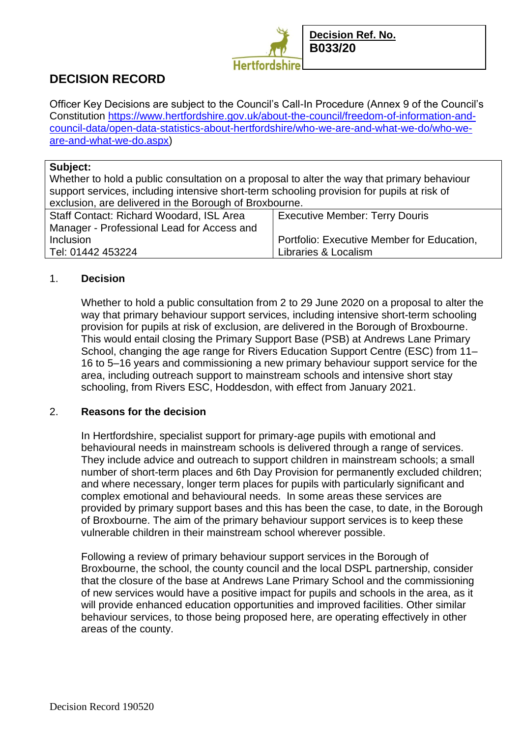

# **DECISION RECORD**

Officer Key Decisions are subject to the Council's Call-In Procedure (Annex 9 of the Council's Constitution [https://www.hertfordshire.gov.uk/about-the-council/freedom-of-information-and](https://www.hertfordshire.gov.uk/about-the-council/freedom-of-information-and-council-data/open-data-statistics-about-hertfordshire/who-we-are-and-what-we-do/who-we-are-and-what-we-do.aspx)[council-data/open-data-statistics-about-hertfordshire/who-we-are-and-what-we-do/who-we](https://www.hertfordshire.gov.uk/about-the-council/freedom-of-information-and-council-data/open-data-statistics-about-hertfordshire/who-we-are-and-what-we-do/who-we-are-and-what-we-do.aspx)[are-and-what-we-do.aspx\)](https://www.hertfordshire.gov.uk/about-the-council/freedom-of-information-and-council-data/open-data-statistics-about-hertfordshire/who-we-are-and-what-we-do/who-we-are-and-what-we-do.aspx)

#### **Subject:**

Whether to hold a public consultation on a proposal to alter the way that primary behaviour support services, including intensive short-term schooling provision for pupils at risk of exclusion, are delivered in the Borough of Broxbourne.

| Staff Contact: Richard Woodard, ISL Area   | <b>Executive Member: Terry Douris</b>      |
|--------------------------------------------|--------------------------------------------|
| Manager - Professional Lead for Access and |                                            |
| <b>Inclusion</b>                           | Portfolio: Executive Member for Education, |
| Tel: 01442 453224                          | Libraries & Localism                       |

#### 1. **Decision**

Whether to hold a public consultation from 2 to 29 June 2020 on a proposal to alter the way that primary behaviour support services, including intensive short-term schooling provision for pupils at risk of exclusion, are delivered in the Borough of Broxbourne. This would entail closing the Primary Support Base (PSB) at Andrews Lane Primary School, changing the age range for Rivers Education Support Centre (ESC) from 11– 16 to 5–16 years and commissioning a new primary behaviour support service for the area, including outreach support to mainstream schools and intensive short stay schooling, from Rivers ESC, Hoddesdon, with effect from January 2021.

#### 2. **Reasons for the decision**

In Hertfordshire, specialist support for primary-age pupils with emotional and behavioural needs in mainstream schools is delivered through a range of services. They include advice and outreach to support children in mainstream schools; a small number of short-term places and 6th Day Provision for permanently excluded children; and where necessary, longer term places for pupils with particularly significant and complex emotional and behavioural needs. In some areas these services are provided by primary support bases and this has been the case, to date, in the Borough of Broxbourne. The aim of the primary behaviour support services is to keep these vulnerable children in their mainstream school wherever possible.

Following a review of primary behaviour support services in the Borough of Broxbourne, the school, the county council and the local DSPL partnership, consider that the closure of the base at Andrews Lane Primary School and the commissioning of new services would have a positive impact for pupils and schools in the area, as it will provide enhanced education opportunities and improved facilities. Other similar behaviour services, to those being proposed here, are operating effectively in other areas of the county.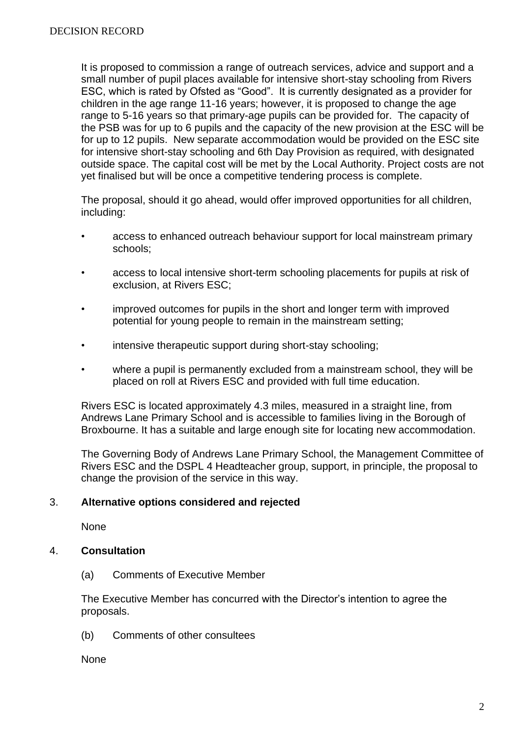It is proposed to commission a range of outreach services, advice and support and a small number of pupil places available for intensive short-stay schooling from Rivers ESC, which is rated by Ofsted as "Good". It is currently designated as a provider for children in the age range 11-16 years; however, it is proposed to change the age range to 5-16 years so that primary-age pupils can be provided for. The capacity of the PSB was for up to 6 pupils and the capacity of the new provision at the ESC will be for up to 12 pupils. New separate accommodation would be provided on the ESC site for intensive short-stay schooling and 6th Day Provision as required, with designated outside space. The capital cost will be met by the Local Authority. Project costs are not yet finalised but will be once a competitive tendering process is complete.

The proposal, should it go ahead, would offer improved opportunities for all children, including:

- access to enhanced outreach behaviour support for local mainstream primary schools;
- access to local intensive short-term schooling placements for pupils at risk of exclusion, at Rivers ESC;
- improved outcomes for pupils in the short and longer term with improved potential for young people to remain in the mainstream setting;
- intensive therapeutic support during short-stay schooling;
- where a pupil is permanently excluded from a mainstream school, they will be placed on roll at Rivers ESC and provided with full time education.

Rivers ESC is located approximately 4.3 miles, measured in a straight line, from Andrews Lane Primary School and is accessible to families living in the Borough of Broxbourne. It has a suitable and large enough site for locating new accommodation.

The Governing Body of Andrews Lane Primary School, the Management Committee of Rivers ESC and the DSPL 4 Headteacher group, support, in principle, the proposal to change the provision of the service in this way.

### 3. **Alternative options considered and rejected**

None

## 4. **Consultation**

(a) Comments of Executive Member

The Executive Member has concurred with the Director's intention to agree the proposals.

(b) Comments of other consultees

**None**